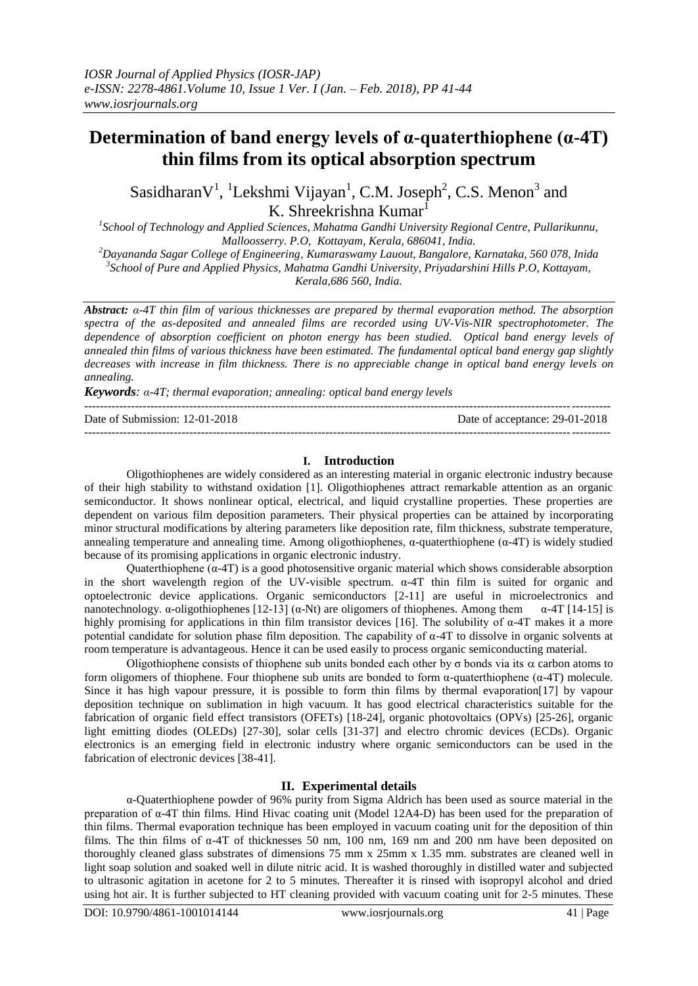# **Determination of band energy levels of α-quaterthiophene (α-4T) thin films from its optical absorption spectrum**

Sasidharan $V^1$ , <sup>1</sup>Lekshmi Vijayan<sup>1</sup>, C.M. Joseph<sup>2</sup>, C.S. Menon<sup>3</sup> and K. Shreekrishna Kumar<sup>1</sup>

<sup>1</sup> School of Technology and Applied Sciences, Mahatma Gandhi University Regional Centre, Pullarikunnu, *Malloosserry. P.O, Kottayam, Kerala, 686041, India.*

*<sup>2</sup>Dayananda Sagar College of Engineering, Kumaraswamy Lauout, Bangalore, Karnataka, 560 078, Inida 3 School of Pure and Applied Physics, Mahatma Gandhi University, Priyadarshini Hills P.O, Kottayam, Kerala,686 560, India.*

*Abstract: α-4T thin film of various thicknesses are prepared by thermal evaporation method. The absorption spectra of the as-deposited and annealed films are recorded using UV-Vis-NIR spectrophotometer. The dependence of absorption coefficient on photon energy has been studied. Optical band energy levels of annealed thin films of various thickness have been estimated. The fundamental optical band energy gap slightly decreases with increase in film thickness. There is no appreciable change in optical band energy levels on annealing.*

*Keywords: α-4T; thermal evaporation; annealing: optical band energy levels* ---------------------------------------------------------------------------------------------------------------------------------------

Date of Submission: 12-01-2018 Date of acceptance: 29-01-2018

### **I. Introduction**

 $-1-\frac{1}{2}$ 

Oligothiophenes are widely considered as an interesting material in organic electronic industry because of their high stability to withstand oxidation [1]. Oligothiophenes attract remarkable attention as an organic semiconductor. It shows nonlinear optical, electrical, and liquid crystalline properties. These properties are dependent on various film deposition parameters. Their physical properties can be attained by incorporating minor structural modifications by altering parameters like deposition rate, film thickness, substrate temperature, annealing temperature and annealing time. Among oligothiophenes,  $\alpha$ -quaterthiophene ( $\alpha$ -4T) is widely studied because of its promising applications in organic electronic industry.

Quaterthiophene (α-4T) is a good photosensitive organic material which shows considerable absorption in the short wavelength region of the UV-visible spectrum.  $\alpha$ -4T thin film is suited for organic and optoelectronic device applications. Organic semiconductors [2-11] are useful in microelectronics and nanotechnology. α-oligothiophenes [12-13] (α-Nt) are oligomers of thiophenes. Among them  $\alpha$ -4T [14-15] is highly promising for applications in thin film transistor devices [16]. The solubility of  $\alpha$ -4T makes it a more potential candidate for solution phase film deposition. The capability of  $\alpha$ -4T to dissolve in organic solvents at room temperature is advantageous. Hence it can be used easily to process organic semiconducting material.

Oligothiophene consists of thiophene sub units bonded each other by  $\sigma$  bonds via its  $\alpha$  carbon atoms to form oligomers of thiophene. Four thiophene sub units are bonded to form α-quaterthiophene (α-4T) molecule. Since it has high vapour pressure, it is possible to form thin films by thermal evaporation[17] by vapour deposition technique on sublimation in high vacuum. It has good electrical characteristics suitable for the fabrication of organic field effect transistors (OFETs) [18-24], organic photovoltaics (OPVs) [25-26], organic light emitting diodes (OLEDs) [27-30], solar cells [31-37] and electro chromic devices (ECDs). Organic electronics is an emerging field in electronic industry where organic semiconductors can be used in the fabrication of electronic devices [38-41].

# **II. Experimental details**

α-Quaterthiophene powder of 96% purity from Sigma Aldrich has been used as source material in the preparation of α-4T thin films. Hind Hivac coating unit (Model 12A4-D) has been used for the preparation of thin films. Thermal evaporation technique has been employed in vacuum coating unit for the deposition of thin films. The thin films of  $\alpha$ -4T of thicknesses 50 nm, 100 nm, 169 nm and 200 nm have been deposited on thoroughly cleaned glass substrates of dimensions 75 mm x 25mm x 1.35 mm. substrates are cleaned well in light soap solution and soaked well in dilute nitric acid. It is washed thoroughly in distilled water and subjected to ultrasonic agitation in acetone for 2 to 5 minutes. Thereafter it is rinsed with isopropyl alcohol and dried using hot air. It is further subjected to HT cleaning provided with vacuum coating unit for 2-5 minutes. These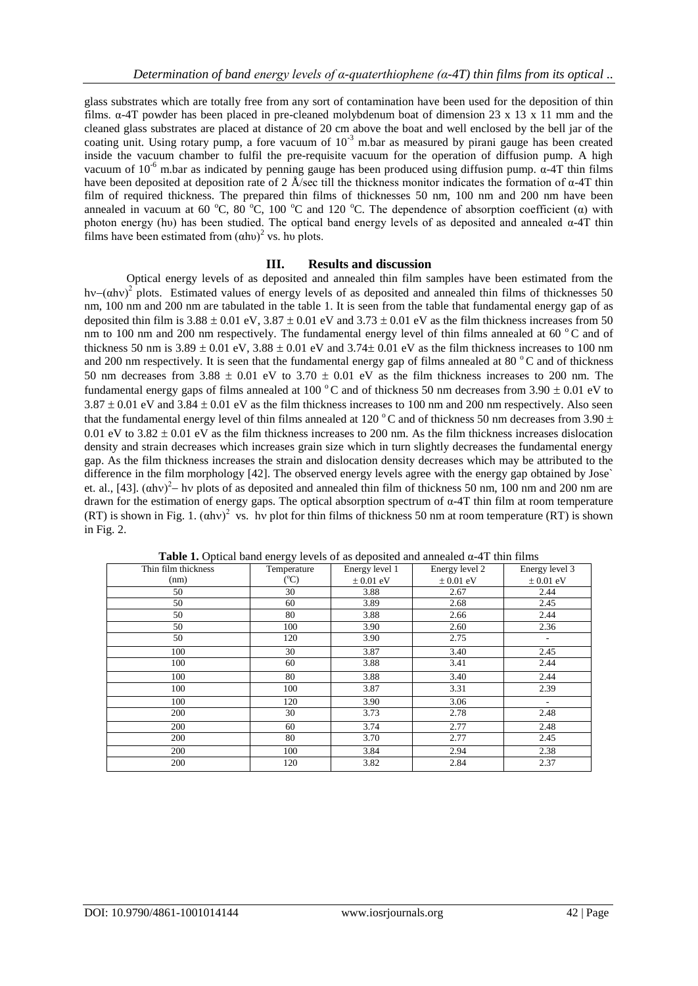glass substrates which are totally free from any sort of contamination have been used for the deposition of thin films. α-4T powder has been placed in pre-cleaned molybdenum boat of dimension 23 x 13 x 11 mm and the cleaned glass substrates are placed at distance of 20 cm above the boat and well enclosed by the bell jar of the coating unit. Using rotary pump, a fore vacuum of  $10^{-3}$  m.bar as measured by pirani gauge has been created inside the vacuum chamber to fulfil the pre-requisite vacuum for the operation of diffusion pump. A high vacuum of  $10^{-6}$  m.bar as indicated by penning gauge has been produced using diffusion pump.  $\alpha$ -4T thin films have been deposited at deposition rate of 2 Å/sec till the thickness monitor indicates the formation of  $\alpha$ -4T thin film of required thickness. The prepared thin films of thicknesses 50 nm, 100 nm and 200 nm have been annealed in vacuum at 60 °C, 80 °C, 100 °C and 120 °C. The dependence of absorption coefficient ( $\alpha$ ) with photon energy (hυ) has been studied. The optical band energy levels of as deposited and annealed  $α$ -4T thin films have been estimated from  $(ahu)^2$  vs. hu plots.

# **III. Results and discussion**

Optical energy levels of as deposited and annealed thin film samples have been estimated from the hv– $(\alpha h v)^2$  plots. Estimated values of energy levels of as deposited and annealed thin films of thicknesses 50 nm, 100 nm and 200 nm are tabulated in the table 1. It is seen from the table that fundamental energy gap of as deposited thin film is  $3.88 \pm 0.01$  eV,  $3.87 \pm 0.01$  eV and  $3.73 \pm 0.01$  eV as the film thickness increases from 50 nm to 100 nm and 200 nm respectively. The fundamental energy level of thin films annealed at 60 °C and of thickness 50 nm is  $3.89 \pm 0.01$  eV,  $3.88 \pm 0.01$  eV and  $3.74 \pm 0.01$  eV as the film thickness increases to 100 nm and 200 nm respectively. It is seen that the fundamental energy gap of films annealed at 80  $\degree$ C and of thickness 50 nm decreases from 3.88  $\pm$  0.01 eV to 3.70  $\pm$  0.01 eV as the film thickness increases to 200 nm. The fundamental energy gaps of films annealed at 100  $^{\circ}$ C and of thickness 50 nm decreases from 3.90  $\pm$  0.01 eV to  $3.87 \pm 0.01$  eV and  $3.84 \pm 0.01$  eV as the film thickness increases to 100 nm and 200 nm respectively. Also seen that the fundamental energy level of thin films annealed at 120 °C and of thickness 50 nm decreases from 3.90  $\pm$ 0.01 eV to  $3.82 \pm 0.01$  eV as the film thickness increases to 200 nm. As the film thickness increases dislocation density and strain decreases which increases grain size which in turn slightly decreases the fundamental energy gap. As the film thickness increases the strain and dislocation density decreases which may be attributed to the difference in the film morphology [42]. The observed energy levels agree with the energy gap obtained by Jose` et. al., [43].  $(\text{ahv})^2$  hv plots of as deposited and annealed thin film of thickness 50 nm, 100 nm and 200 nm are drawn for the estimation of energy gaps. The optical absorption spectrum of α-4T thin film at room temperature (RT) is shown in Fig. 1.  $(ahv)^2$  vs. hv plot for thin films of thickness 50 nm at room temperature (RT) is shown in Fig. 2.

| Thin film thickness | Temperature           | Energy level 1 | Energy level 2 | Energy level 3           |
|---------------------|-----------------------|----------------|----------------|--------------------------|
| (nm)                | $({}^{\rm o}{\rm C})$ | $\pm 0.01$ eV  | $\pm 0.01$ eV  | $\pm 0.01$ eV            |
| 50                  | 30                    | 3.88           | 2.67           | 2.44                     |
| 50                  | 60                    | 3.89           | 2.68           | 2.45                     |
| 50                  | 80                    | 3.88           | 2.66           | 2.44                     |
| 50                  | 100                   | 3.90           | 2.60           | 2.36                     |
| 50                  | 120                   | 3.90           | 2.75           |                          |
| 100                 | 30                    | 3.87           | 3.40           | 2.45                     |
| 100                 | 60                    | 3.88           | 3.41           | 2.44                     |
| 100                 | 80                    | 3.88           | 3.40           | 2.44                     |
| 100                 | 100                   | 3.87           | 3.31           | 2.39                     |
| 100                 | 120                   | 3.90           | 3.06           | $\overline{\phantom{a}}$ |
| 200                 | 30                    | 3.73           | 2.78           | 2.48                     |
| 200                 | 60                    | 3.74           | 2.77           | 2.48                     |
| 200                 | 80                    | 3.70           | 2.77           | 2.45                     |
| 200                 | 100                   | 3.84           | 2.94           | 2.38                     |
| 200                 | 120                   | 3.82           | 2.84           | 2.37                     |

**Table 1.** Optical band energy levels of as deposited and annealed  $\alpha$ -4T thin films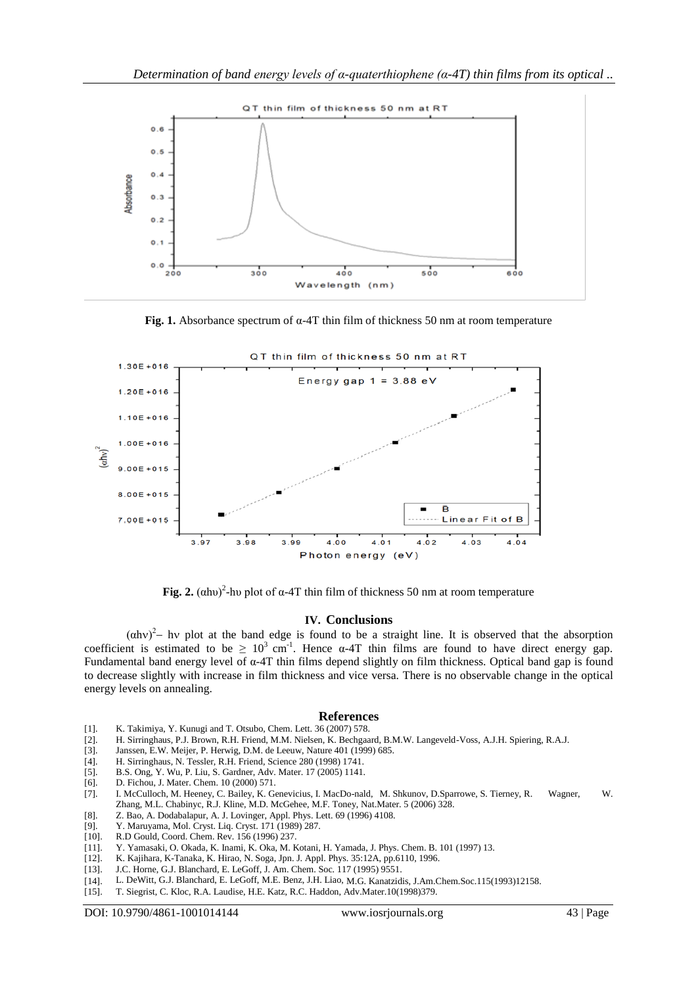

**Fig. 1.** Absorbance spectrum of α-4T thin film of thickness 50 nm at room temperature



Fig. 2.  $(\alpha$ hu)<sup>2</sup>-hu plot of  $\alpha$ -4T thin film of thickness 50 nm at room temperature

#### **IV. Conclusions**

 $(\alpha h v)^2$ – hv plot at the band edge is found to be a straight line. It is observed that the absorption coefficient is estimated to be  $\geq 10^3$  cm<sup>-1</sup>. Hence  $\alpha$ -4T thin films are found to have direct energy gap. Fundamental band energy level of α-4T thin films depend slightly on film thickness. Optical band gap is found to decrease slightly with increase in film thickness and vice versa. There is no observable change in the optical energy levels on annealing.

#### **References**

- [1]. K. Takimiya, Y. Kunugi and T. Otsubo, Chem. Lett. 36 (2007) 578.
- [2]. H. Sirringhaus, P.J. Brown, R.H. Friend, M.M. Nielsen, K. Bechgaard, B.M.W. Langeveld-Voss, A.J.H. Spiering, R.A.J.
- [3]. Janssen, E.W. Meijer, P. Herwig, D.M. de Leeuw, Nature 401 (1999) 685.
- [4]. H. Sirringhaus, N. Tessler, R.H. Friend, Science 280 (1998) 1741.
- [5]. B.S. Ong, Y. Wu, P. Liu, S. Gardner, Adv. Mater. 17 (2005) 1141.
- [6]. D. Fichou, J. Mater. Chem. 10 (2000) 571.
- [7]. I. McCulloch, M. Heeney, C. Bailey, K. Genevicius, I. MacDo-nald, M. Shkunov, D.Sparrowe, S. Tierney, R. Wagner, W. Zhang, M.L. Chabinyc, R.J. Kline, M.D. McGehee, M.F. Toney, Nat.Mater. 5 (2006) 328.
- [8]. Z. Bao, A. Dodabalapur, A. J. Lovinger, Appl. Phys. Lett. 69 (1996) 4108. [9]. Y. Maruyama, Mol. Cryst. Liq. Cryst. 171 (1989) 287.
- Y. Maruyama, Mol. Cryst. Liq. Cryst. 171 (1989) 287.
- [10]. R.D Gould, Coord. Chem. Rev. 156 (1996) 237.
- [11]. Y. Yamasaki, O. Okada, K. Inami, K. Oka, M. Kotani, H. Yamada, J. Phys. Chem. B. 101 (1997) 13.
- [12]. K. Kajihara, K-Tanaka, K. Hirao, N. Soga, Jpn. J. Appl. Phys. 35:12A, pp.6110, 1996.
- [13]. J.C. Horne, G.J. Blanchard, E. LeGoff, J. Am. Chem. Soc. 117 (1995) 9551.
- [14]. L. DeWitt, G.J. Blanchard, E. LeGoff, M.E. Benz, J.H. Liao, M.G. Kanatzidis, J.Am.Chem.Soc.115(1993)12158.
- [15]. T. Siegrist, C. Kloc, R.A. Laudise, H.E. Katz, R.C. Haddon, Adv.Mater.10(1998)379.